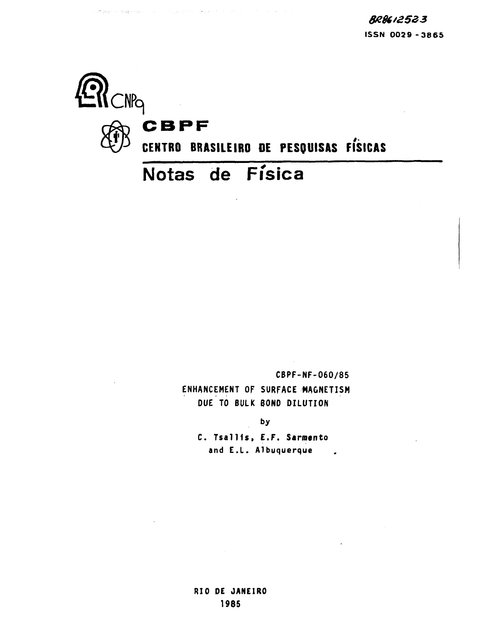

المتار والمتعارف والمتحرف والمتعارف والمتحرف والمتهاري

185 Square Commissioners Records on the

**CBPF-NF-060/85 ENHANCEMENT OF SURFACE MAGNETISM DUE TO BULK BOND DILUTION**

by

**C. TsalUs , E.F. Sarroento and E.L. Albuquerque**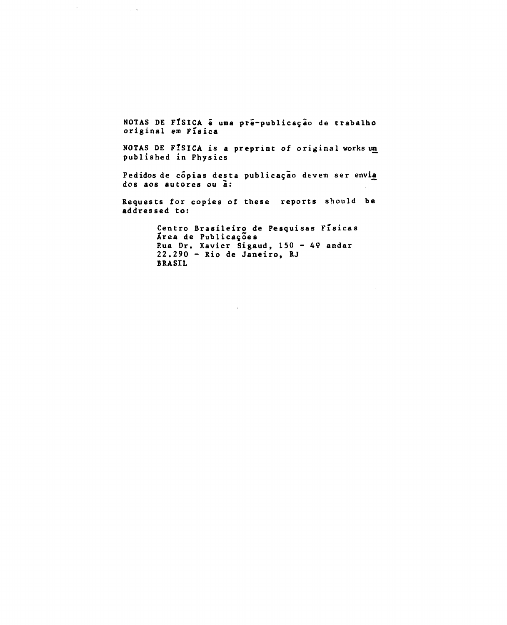NOTAS DE FÍSICA é uma pré-publicação de trabalho **original em Fisica**

 $\mathcal{L}^{\mathcal{L}}$ 

 $\sim$   $\sim$ 

**NOTAS DE FlSICA is a preprint of original works un published in Physics**

Pedidos de cópias desta publicação devem ser envi<u>a</u> **dos aos autores ou a:**

**Requests for copies of these reports should be addressed to:**

> **Centro Brasileiro de Pesquisas Fisicas Area de Publicac,oes P.ua Dr. Xavier Sigaud, 150 - 49 andar 22.290 - Rio de Janeiro, RJ BRASIL**

> > $\mathbf{r}$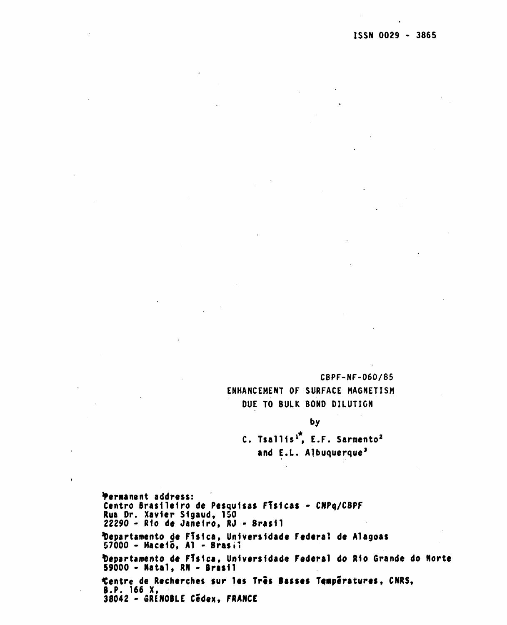**CBPF-NF-060/85 ENHANCEMENT OF SURFACE MAGNETISM DUE TO BULK BOND DILUTION**

**by C. Tsaliis<sup>1</sup>, E.F. Sarmento<sup>2</sup> and E.L. Albuquerque<sup>3</sup>**

**'Permanent address: Centro Brasiieiro de Pesquisas FTsicas - CNPq/CBPF Rua Dr. Xavier Sigaud, 150 22290 - Rio de Janeiro\* RJ - Brasil topartamento de FTsica, Un1vers1dade Federal de Alagoas 57000 - Macelo, A1 - BrasH tapartamento de FTsica, Uo1vers1dade Federal do Rio Grande do Norte S9000 - Natal, RN - Brasii Centre de Recherches sur les Tris Basses Temperatures, CNRS, B.P. 166 X, 38042 - SRE.NOBLE Cedex, FRANCE**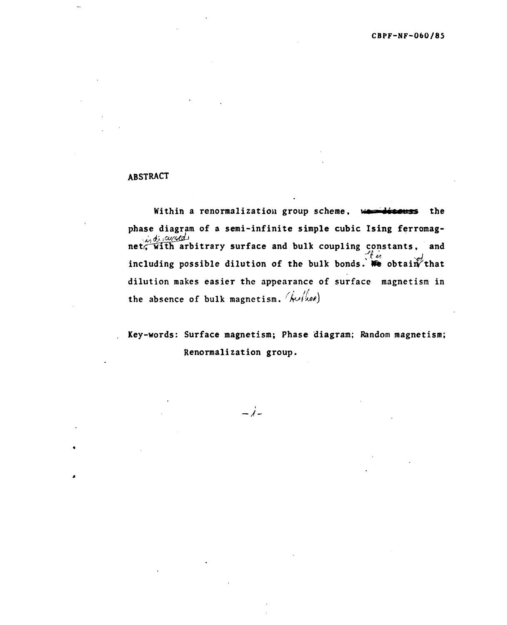# ABSTRACT

Within a renormalization group scheme, was discuss the phase diagram of a semi-infinite simple cubic Ising ferromagnet, which arbitrary surface and bulk coupling constants, and including possible dilution of the bulk bonds. We obtain that dilution makes easier the appearance of surface magnetism in the absence of bulk magnetism. ( $\hat{k}$ u/ $\hat{l}$ we)

**Key-words: Surface magnetism; Phase diagram; Random magnetism; Renormalization group.**

 $-\lambda$ -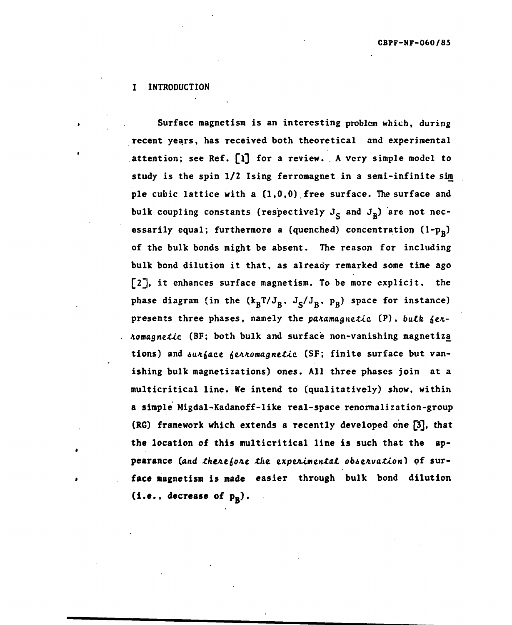## **I INTRODUCTION**

**Surface magnetism is an interesting problem which, during recent years, has received both theoretical and experimental** attention; see Ref. [1] for a review. A very simple model to **study is the spin 1/2 Ising ferromagnet in a semi-infinite sim pie cubic lattice with a (1,0,0) free surface. The surface and** bulk coupling constants (respectively  $J_c$  and  $J_R$ ) are not nec**essarily equal; furthermore a (quenched) concentration (l~Pg) of the bulk bonds might be absent. The reason for including bulk bond dilution it that, as already remarked some time ago [2j» it enhances surface magnetism. To be more explicit, the** phase diagram (in the  $(k_B T/J_B, J_S/J_B, p_B)$  space for instance) presents three phases, namely the paramagnetic (P), bulk fer-**A.omagne.£ic (BF; both bulk and surface non-vanishing magnetiza** tions) and surface ferromagnetic (SF; finite surface but van**ishing bulk magnetizations) ones. All three phases join at a multicritical line. We intend to (qualitatively) show, within a simple Migdal-Kadanoff-like real-space renormalization-group** (RG) framework which extends a recently developed one [3], that **the location of this multicritical line is such that the ap**pearance (and therefore the experimental observation) of sur**face magnetism is made easier through bulk bond dilution**  $(i.e., decrease of  $p_R$ ).$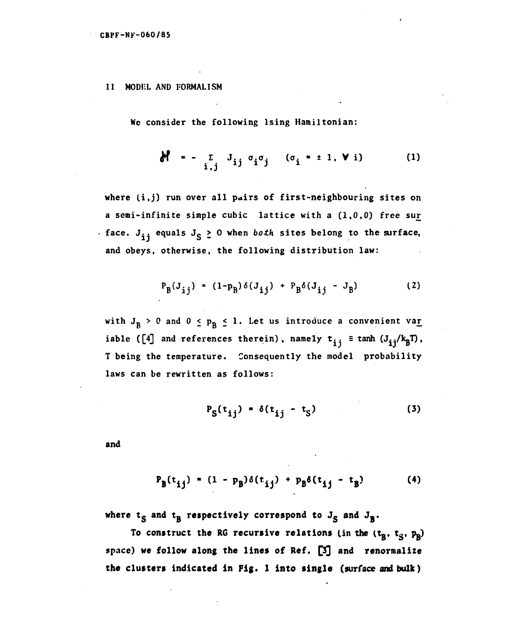## **II MODEL AND FORMALISM**

We consider the following lsing Hamiltonian:

$$
\mathbf{M} = -\sum_{\mathbf{i},\mathbf{j}} \mathbf{J}_{\mathbf{i}\mathbf{j}} \sigma_{\mathbf{i}} \sigma_{\mathbf{j}} \qquad (\sigma_{\mathbf{i}} = \pm 1, \mathbf{V} \mathbf{i}) \tag{1}
$$

**where li.j) run over all pairs of first-neighbouring sites on a semi-infinite simple cubic lattice with a (1,0,0) free sur face.** J<sub>i</sub> equals J<sub>S</sub>  $\geq$  0 when *both* sites belong to the surface, **and obeys, otherwise, the following distribution law:**

$$
P_B(J_{ij}) = (1-p_B)\delta(J_{ij}) + P_B\delta(J_{ij} - J_B)
$$
 (2)

with  $J_B > 0$  and  $0 \le p_B \le 1$ . Let us introduce a convenient var iable ([4] and references therein), namely  $t_{ij} \equiv \tanh (J_{ij}/k_BT)$ . **T being the temperature. Consequently the model probability laws can be rewritten as follows:**

$$
P_S(t_{ij}) = \delta(t_{ij} - t_S)
$$
 (3)

**and**

$$
P_{B}(t_{ij}) = (1 - p_{B})\delta(t_{ij}) + p_{B}\delta(t_{ij} - t_{B})
$$
 (4)

where  $t_S$  and  $t_B$  respectively correspond to  $J_S$  and  $J_B$ .

To construct the RG recursive relations (in the  $(t_B, t_S, p_B)$ **space) we follow along the lines of Ref. £3] and renormalize the clusters indicated in Fig. 1 into single (surface and bulk)**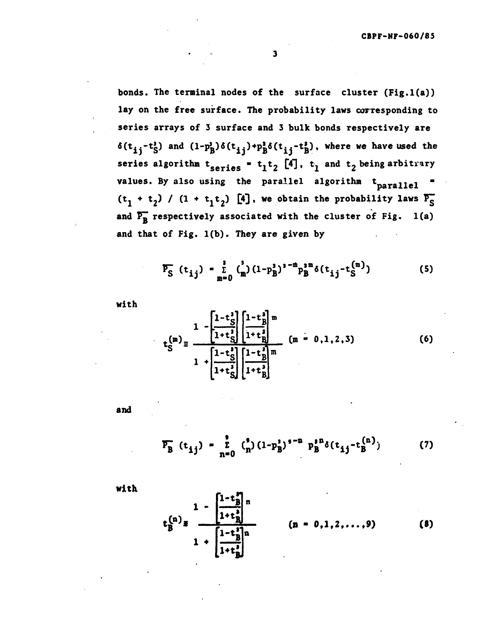**bonds. The terminal nodes of the surface cluster (Fig.l(a)) lay on the free surface. The probability laws corresponding to series arrays of 3 surface and 3 bulk bonds respectively are**  $\delta(t_{1,i}-t_{c}^{j})$  and  $(1-p_{b}^{j})\delta(t_{i,i})+p_{b}^{j}\delta(t_{i,i}-t_{b}^{j})$ , where we have used the **series algorithm**  $t_{series} = t_1 t_2$  **[4],**  $t_1$  **and**  $t_2$  **being arbitrary** values. By also using the parallel algorithm t<sub>parallel</sub>  $(t_1 + t_2)$  /  $(1 + t_1t_2)$  [4], we obtain the probability laws  $P_S$ and  $\overline{P_B}$  respectively associated with the cluster of Fig. 1(a) **and that of Fig. l(b). They are given by**

$$
\overline{P_S} (t_{ij}) = \sum_{m=0}^{3} {3 \choose m} (1 - p_B^3)^{s - m} p_B^{s m} \delta(t_{ij} - t_S^{(m)})
$$
(5)

**with**

$$
\sum_{S}^{(m)} = \frac{1 - \left[\frac{1 - t_{S}^{3}}{1 + t_{S}^{3}}\right] \left[\frac{1 - t_{B}^{3}}{1 + t_{B}^{3}}\right]^{m}}{1 + \left[\frac{1 - t_{S}^{3}}{1 + t_{S}^{3}}\right] \left[\frac{1 - t_{B}^{3}}{1 + t_{B}^{3}}\right]^{m}}
$$
(m = 0, 1, 2, 3) (6)

**and**

$$
\overline{P_B} (t_{ij}) = \sum_{n=0}^{9} {5 \choose n} (1-p_B^2)^{n-2} p_B^{10} \delta(t_{ij} - t_B^{(n)})
$$
 (7)

**with**

$$
\begin{array}{ccc}\n & 1 - \left[ \frac{1 - t_0^2}{1 + t_0^2} \right]^{n} \\
& \left[ \frac{1 - t_0^2}{1 + t_0^2} \right]^{n} \\
& & \left[ \frac{1 - t_0^2}{1 + t_0^2} \right]^{n}\n\end{array}\n\qquad (n = 0, 1, 2, \ldots, 9)\n\qquad (8)
$$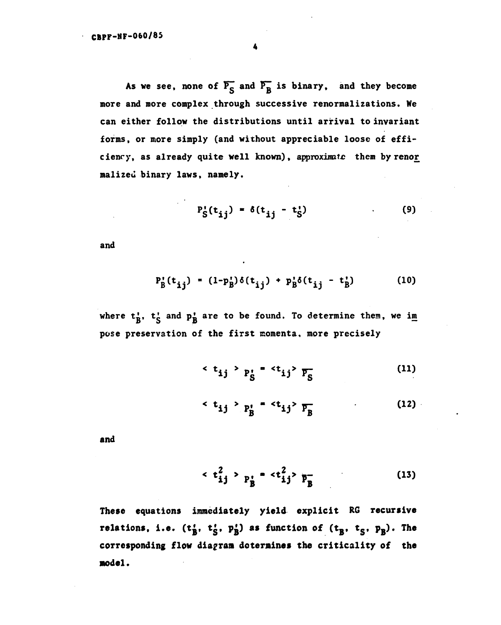As we see, none of  $\overline{P^S_S}$  and  $\overline{P^B_B}$  is binary, and they become more and more complex through successive renormalizations. We can either follow the distributions until arrival to invariant forms, or more simply (and without appreciable loose of efficiency, as already quite well known), approximate them by renor malized binary laws, namely.

$$
P_S'(t_{ij}) = \delta(t_{ij} - t_S')
$$
 (9)

and

$$
P'_{B}(t_{ij}) = (1-p'_{B})\delta(t_{ij}) + p'_{B}\delta(t_{ij} - t'_{B})
$$
 (10)

where  $t_k^1$ ,  $t_s^1$  and  $p_B^1$  are to be found. To determine them, we im pose preservation of the first momenta, more precisely

$$
\langle t_{ij} \rangle_{P_S'} = \langle t_{ij} \rangle_{\overline{P_S}} \tag{11}
$$

$$
\langle t_{ij} \rangle_{P_B^1} = \langle t_{ij} \rangle_{P_B} \tag{12}
$$

**and**

$$
\langle t_{ij}^2 \rangle_{P_B^{\dagger}} = \langle t_{ij}^2 \rangle_{P_B^-}
$$
 (13)

**These equations** immediately **yield** explicit **RG recursive** relations, i.e.  $(t_B^t, t_S^t, p_B^t)$  as function of  $(t_B^t, t_S^t, p_B^t)$ . The **corresponding flow diagram determines the criticality of the model.**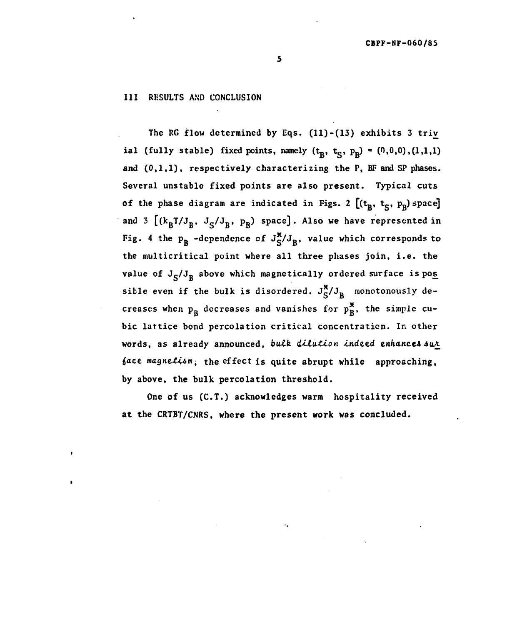### **III** RESULTS AND CONCLUSION

The RG flow determined by Eqs. (11)-(13) exhibits 3 triv ial (fully stable) fixed points, namely  $(t_B, t_S, p_B) = (0,0,0), (1,1,1)$ and  $(0,1,1)$ , respectively characterizing the P, BF and SP phases. Several unstable fixed points are also present. Typical cuts of the phase diagram are indicated in Figs. 2  $[(t_B, t_S, p_B)$  space] and 3  $[(k_B T/J_B, J_S/J_B, p_B)$  space]. Also we have represented in Fig. 4 the  $p_R$  -dependence of  $J_S^{\mathbf{x}}/J_B$ , value which corresponds to the multicritical point where all three phases join, i.e. the value of  $J_S/J_R$  above which magnetically ordered surface is pos sible even if the bulk is disordered.  $J_S^{\mathbf{X}}/J_B$  monotonously decreases when  $p_B$  decreases and vanishes for  $p_B^{\mathbf{x}}$ , the simple cubic lattice bond percolation critical concentration. In other words, as already announced, bulk dilution indeed enhances sur  $face$  magnetism; the effect is quite abrupt while approaching, by above, the bulk percolation threshold.

One of us (C.T.) acknowledges warm hospitality received at the CRT8T/CNRS, **where** the present **work was** concluded.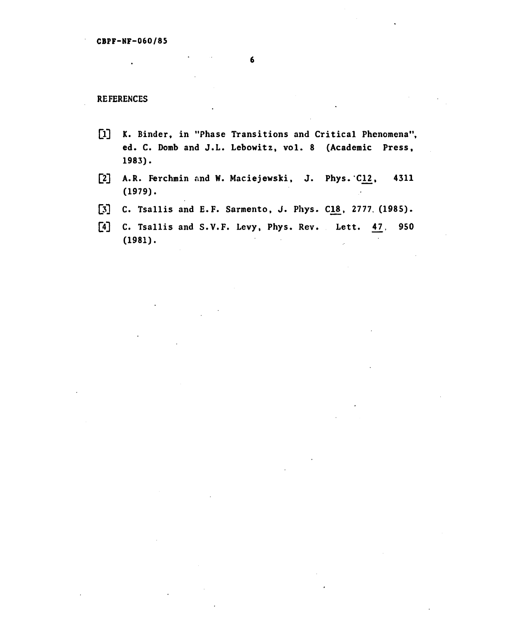**REFERENCES**

- [1] K. Binder, in "Phase Transitions and Critical Phenomena", **ed. C. Domb and J.L. Lebowitz, vol . 8 (Academic Press, 1983).**
- **[2] A.R. Ferchmin and W. Maciejewski, J. Phys. C12, 4311 (1979).**
- [3] C. Tsallis and E.F. Sarmento, J. Phys. C18, 2777. (1985).
- **[4] C. Tsallis and S.V.F. Levy, Phys. Rev. Lett. £7, 950 (1981).**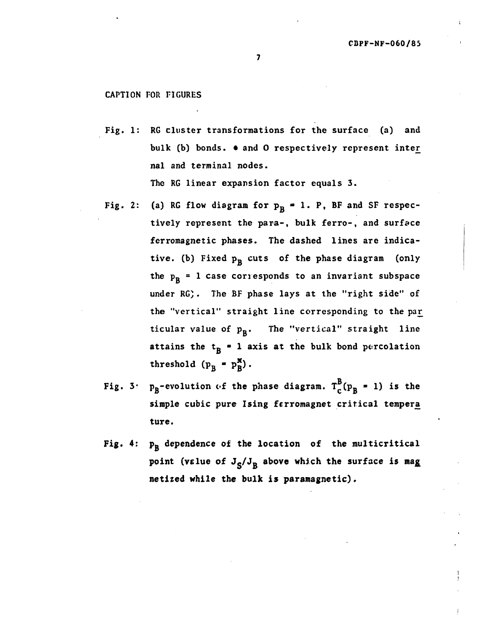# CAPTION FOR FIGURES

Fig. 1: RG cluster transformations for the surface (a) and bulk (b) bonds.  $\bullet$  and O respectively represent inter nal and terminal nodes.

The RG linear expansion factor equals 3.

- Fig. 2: (a) RG flow diagram for  $p_R = 1$ . P, BF and SF respectively represent the para-, bulk ferro-, and surface ferromagnetic phases. The dashed lines are indicative. (b) Fixed  $p_B$  cuts of the phase diagram (only the  $p_B = 1$  case corresponds to an invariant subspace under RG). The BF phase lays at the "right side" of the "vertical" straight line corresponding to the par ticular value of  $p_B$ . The "vertical" straight line attains the  $t_R = 1$  axis at the bulk bond percolation threshold  $(p_B - p_B^{\mathbf{x}})$ .
- $p_R$ -evolution of the phase diagram.  $T_c^B(p_R = 1)$  is the Fig.  $3:$ simple cubic pure Ising ferromagnet critical tempera
- Fig. 4:  $p_R$  dependence of the location of the multicritical point (velue of  $J_S/J_R$  above which the surface is mag **netized while the bulk is paramagnetic).**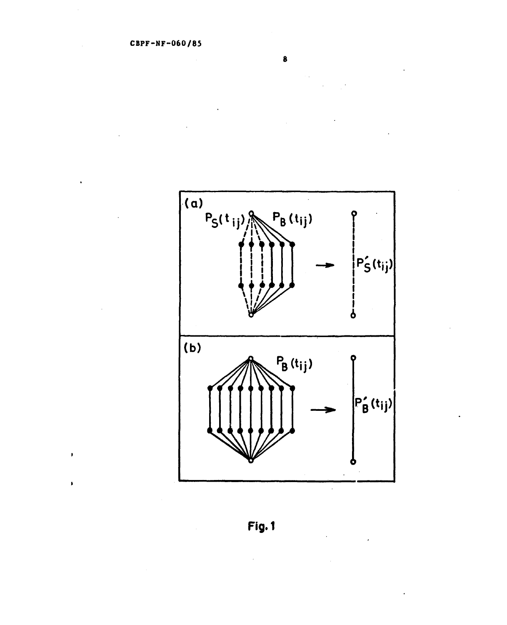$\pmb{\mathfrak{p}}$ 

 $\bar{\mathbf{r}}$ 

 $\bullet$ 



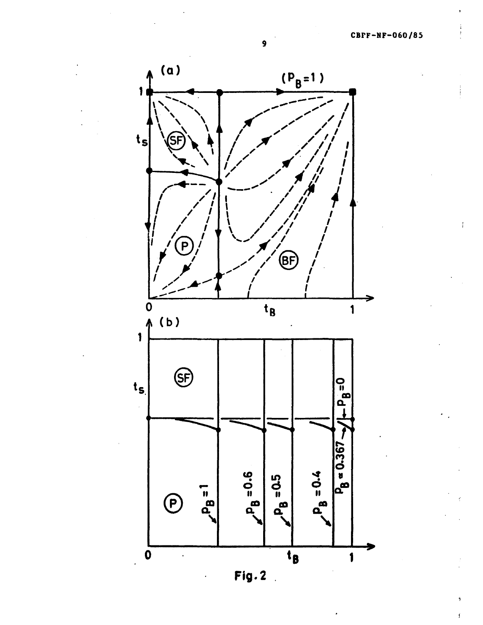Í



**Fig. 2**  $\mathbb{R}^2$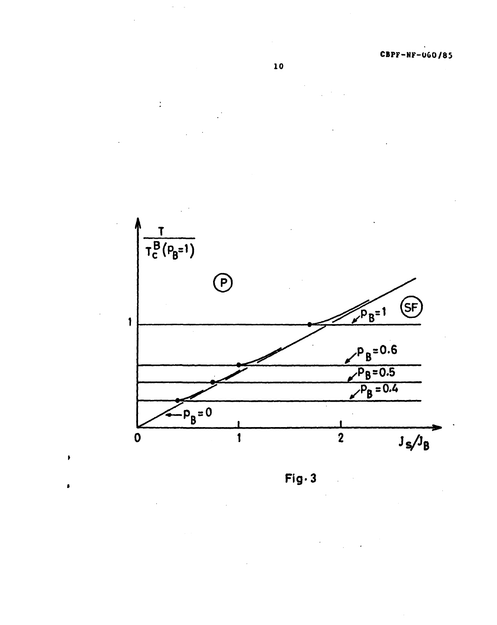Ì,





**Fig-3**

 $\pmb{\mathfrak{p}}$